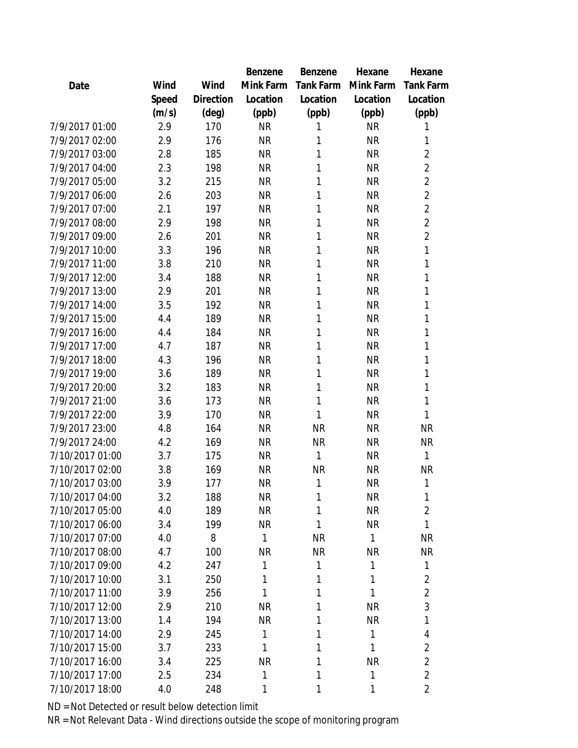|                 |       |           | Benzene   | Benzene          | Hexane    | Hexane           |
|-----------------|-------|-----------|-----------|------------------|-----------|------------------|
| Date            | Wind  | Wind      | Mink Farm | <b>Tank Farm</b> | Mink Farm | <b>Tank Farm</b> |
|                 | Speed | Direction | Location  | Location         | Location  | Location         |
|                 | (m/s) | (deg)     | (ppb)     | (ppb)            | (ppb)     | (ppb)            |
| 7/9/2017 01:00  | 2.9   | 170       | <b>NR</b> | 1                | <b>NR</b> | 1                |
| 7/9/2017 02:00  | 2.9   | 176       | <b>NR</b> | 1                | <b>NR</b> | 1                |
| 7/9/2017 03:00  | 2.8   | 185       | <b>NR</b> | 1                | <b>NR</b> | $\overline{2}$   |
| 7/9/2017 04:00  | 2.3   | 198       | <b>NR</b> | 1                | <b>NR</b> | $\overline{2}$   |
| 7/9/2017 05:00  | 3.2   | 215       | <b>NR</b> | 1                | <b>NR</b> | $\overline{2}$   |
| 7/9/2017 06:00  | 2.6   | 203       | <b>NR</b> | 1                | <b>NR</b> | $\overline{2}$   |
| 7/9/2017 07:00  | 2.1   | 197       | <b>NR</b> | 1                | <b>NR</b> | $\overline{2}$   |
| 7/9/2017 08:00  | 2.9   | 198       | <b>NR</b> | 1                | <b>NR</b> | $\overline{2}$   |
| 7/9/2017 09:00  | 2.6   | 201       | <b>NR</b> | 1                | <b>NR</b> | $\overline{2}$   |
| 7/9/2017 10:00  | 3.3   | 196       | <b>NR</b> | 1                | <b>NR</b> | $\mathbf{1}$     |
| 7/9/2017 11:00  | 3.8   | 210       | <b>NR</b> | 1                | <b>NR</b> | 1                |
| 7/9/2017 12:00  | 3.4   | 188       | <b>NR</b> | 1                | <b>NR</b> | $\mathbf{1}$     |
| 7/9/2017 13:00  | 2.9   | 201       | <b>NR</b> | 1                | <b>NR</b> | $\mathbf{1}$     |
| 7/9/2017 14:00  | 3.5   | 192       | <b>NR</b> | 1                | <b>NR</b> | 1                |
| 7/9/2017 15:00  | 4.4   | 189       | <b>NR</b> | 1                | <b>NR</b> | 1                |
| 7/9/2017 16:00  | 4.4   | 184       | <b>NR</b> | 1                | <b>NR</b> | 1                |
| 7/9/2017 17:00  | 4.7   | 187       | <b>NR</b> | 1                | <b>NR</b> | 1                |
| 7/9/2017 18:00  | 4.3   | 196       | <b>NR</b> | 1                | <b>NR</b> | 1                |
| 7/9/2017 19:00  | 3.6   | 189       | <b>NR</b> | 1                | <b>NR</b> | 1                |
| 7/9/2017 20:00  | 3.2   | 183       | <b>NR</b> | 1                | <b>NR</b> | 1                |
| 7/9/2017 21:00  | 3.6   | 173       | <b>NR</b> | 1                | <b>NR</b> | 1                |
| 7/9/2017 22:00  | 3.9   | 170       | <b>NR</b> | 1                | <b>NR</b> | 1                |
| 7/9/2017 23:00  | 4.8   | 164       | <b>NR</b> | <b>NR</b>        | <b>NR</b> | <b>NR</b>        |
| 7/9/2017 24:00  | 4.2   | 169       | <b>NR</b> | <b>NR</b>        | <b>NR</b> | <b>NR</b>        |
| 7/10/2017 01:00 | 3.7   | 175       | <b>NR</b> | 1                | <b>NR</b> | 1                |
| 7/10/2017 02:00 | 3.8   | 169       | <b>NR</b> | <b>NR</b>        | <b>NR</b> | <b>NR</b>        |
| 7/10/2017 03:00 | 3.9   | 177       | <b>NR</b> | 1                | <b>NR</b> | 1                |
| 7/10/2017 04:00 | 3.2   | 188       | <b>NR</b> | 1                | <b>NR</b> | 1                |
| 7/10/2017 05:00 | 4.0   | 189       | <b>NR</b> | 1                | <b>NR</b> | $\overline{2}$   |
| 7/10/2017 06:00 | 3.4   | 199       | <b>NR</b> | 1                | <b>NR</b> | $\mathbf{1}$     |
| 7/10/2017 07:00 | 4.0   | 8         | 1         | <b>NR</b>        | 1         | <b>NR</b>        |
| 7/10/2017 08:00 | 4.7   | 100       | <b>NR</b> | <b>NR</b>        | <b>NR</b> | <b>NR</b>        |
| 7/10/2017 09:00 | 4.2   | 247       | 1         | 1                | 1         | 1                |
| 7/10/2017 10:00 | 3.1   | 250       | 1         | 1                | 1         | $\overline{2}$   |
| 7/10/2017 11:00 | 3.9   | 256       | 1         | 1                | 1         | $\overline{2}$   |
| 7/10/2017 12:00 | 2.9   | 210       | <b>NR</b> | 1                | <b>NR</b> | 3                |
| 7/10/2017 13:00 | 1.4   | 194       | <b>NR</b> | 1                | <b>NR</b> | 1                |
| 7/10/2017 14:00 | 2.9   | 245       | 1         | 1                | 1         | 4                |
| 7/10/2017 15:00 | 3.7   | 233       | 1         | 1                | 1         | $\overline{2}$   |
| 7/10/2017 16:00 | 3.4   | 225       | <b>NR</b> | 1                | <b>NR</b> | $\overline{2}$   |
| 7/10/2017 17:00 | 2.5   | 234       | 1         | 1                | 1         | $\overline{2}$   |
| 7/10/2017 18:00 | 4.0   | 248       | 1         | 1                | 1         | $\overline{2}$   |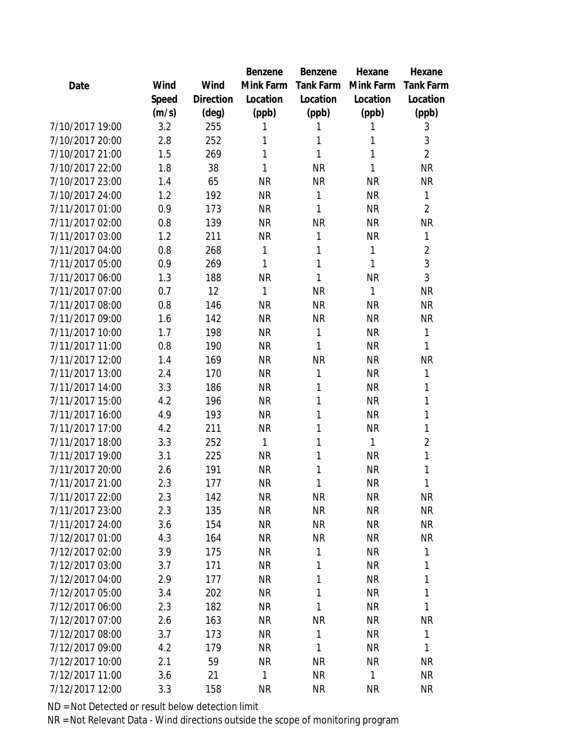|                 |       |           | Benzene   | Benzene          | Hexane    | Hexane           |
|-----------------|-------|-----------|-----------|------------------|-----------|------------------|
| Date            | Wind  | Wind      | Mink Farm | <b>Tank Farm</b> | Mink Farm | <b>Tank Farm</b> |
|                 | Speed | Direction | Location  | Location         | Location  | Location         |
|                 | (m/s) | (deg)     | (ppb)     | (ppb)            | (ppb)     | (ppb)            |
| 7/10/2017 19:00 | 3.2   | 255       | 1         | 1                | 1         | 3                |
| 7/10/2017 20:00 | 2.8   | 252       | 1         | 1                | 1         | 3                |
| 7/10/2017 21:00 | 1.5   | 269       | 1         | 1                | 1         | $\overline{2}$   |
| 7/10/2017 22:00 | 1.8   | 38        | 1         | <b>NR</b>        | 1         | <b>NR</b>        |
| 7/10/2017 23:00 | 1.4   | 65        | <b>NR</b> | <b>NR</b>        | <b>NR</b> | <b>NR</b>        |
| 7/10/2017 24:00 | 1.2   | 192       | <b>NR</b> | 1                | <b>NR</b> | 1                |
| 7/11/2017 01:00 | 0.9   | 173       | <b>NR</b> | 1                | <b>NR</b> | $\overline{2}$   |
| 7/11/2017 02:00 | 0.8   | 139       | <b>NR</b> | <b>NR</b>        | <b>NR</b> | <b>NR</b>        |
| 7/11/2017 03:00 | 1.2   | 211       | <b>NR</b> | 1                | <b>NR</b> | 1                |
| 7/11/2017 04:00 | 0.8   | 268       | 1         | 1                | 1         | $\overline{2}$   |
| 7/11/2017 05:00 | 0.9   | 269       | 1         | 1                | 1         | 3                |
| 7/11/2017 06:00 | 1.3   | 188       | <b>NR</b> | 1                | <b>NR</b> | 3                |
| 7/11/2017 07:00 | 0.7   | 12        | 1         | <b>NR</b>        | 1         | <b>NR</b>        |
| 7/11/2017 08:00 | 0.8   | 146       | <b>NR</b> | <b>NR</b>        | <b>NR</b> | <b>NR</b>        |
| 7/11/2017 09:00 | 1.6   | 142       | <b>NR</b> | <b>NR</b>        | <b>NR</b> | <b>NR</b>        |
| 7/11/2017 10:00 | 1.7   | 198       | <b>NR</b> | 1                | <b>NR</b> | 1                |
| 7/11/2017 11:00 | 0.8   | 190       | <b>NR</b> | 1                | <b>NR</b> | 1                |
| 7/11/2017 12:00 | 1.4   | 169       | <b>NR</b> | <b>NR</b>        | <b>NR</b> | <b>NR</b>        |
| 7/11/2017 13:00 | 2.4   | 170       | <b>NR</b> | 1                | <b>NR</b> | 1                |
| 7/11/2017 14:00 | 3.3   | 186       | <b>NR</b> | 1                | <b>NR</b> | 1                |
| 7/11/2017 15:00 | 4.2   | 196       | <b>NR</b> | 1                | <b>NR</b> | 1                |
| 7/11/2017 16:00 | 4.9   | 193       | <b>NR</b> | 1                | <b>NR</b> | 1                |
| 7/11/2017 17:00 | 4.2   | 211       | <b>NR</b> | 1                | <b>NR</b> | 1                |
| 7/11/2017 18:00 | 3.3   | 252       | 1         | 1                | 1         | $\overline{2}$   |
| 7/11/2017 19:00 | 3.1   | 225       | <b>NR</b> | 1                | <b>NR</b> | 1                |
| 7/11/2017 20:00 | 2.6   | 191       | <b>NR</b> | 1                | <b>NR</b> | 1                |
| 7/11/2017 21:00 | 2.3   | 177       | <b>NR</b> | 1                | <b>NR</b> | 1                |
| 7/11/2017 22:00 | 2.3   | 142       | <b>NR</b> | <b>NR</b>        | <b>NR</b> | <b>NR</b>        |
| 7/11/2017 23:00 | 2.3   | 135       | <b>NR</b> | <b>NR</b>        | <b>NR</b> | <b>NR</b>        |
| 7/11/2017 24:00 | 3.6   | 154       | <b>NR</b> | <b>NR</b>        | <b>NR</b> | <b>NR</b>        |
| 7/12/2017 01:00 | 4.3   | 164       | <b>NR</b> | <b>NR</b>        | <b>NR</b> | <b>NR</b>        |
| 7/12/2017 02:00 | 3.9   | 175       | <b>NR</b> | 1                | <b>NR</b> | 1                |
| 7/12/2017 03:00 | 3.7   | 171       | NR        | 1                | <b>NR</b> | 1                |
| 7/12/2017 04:00 | 2.9   | 177       | <b>NR</b> | 1                | <b>NR</b> | 1                |
| 7/12/2017 05:00 | 3.4   | 202       | <b>NR</b> | 1                | <b>NR</b> | 1                |
| 7/12/2017 06:00 | 2.3   | 182       | <b>NR</b> | 1                | <b>NR</b> | 1                |
| 7/12/2017 07:00 | 2.6   | 163       | <b>NR</b> | <b>NR</b>        | <b>NR</b> | <b>NR</b>        |
| 7/12/2017 08:00 | 3.7   | 173       | <b>NR</b> | 1                | <b>NR</b> | 1                |
| 7/12/2017 09:00 | 4.2   | 179       | <b>NR</b> | 1                | <b>NR</b> | 1                |
| 7/12/2017 10:00 | 2.1   | 59        | <b>NR</b> | <b>NR</b>        | <b>NR</b> | <b>NR</b>        |
| 7/12/2017 11:00 | 3.6   | 21        | 1         | <b>NR</b>        | 1         | <b>NR</b>        |
| 7/12/2017 12:00 | 3.3   | 158       | <b>NR</b> | <b>NR</b>        | <b>NR</b> | <b>NR</b>        |
|                 |       |           |           |                  |           |                  |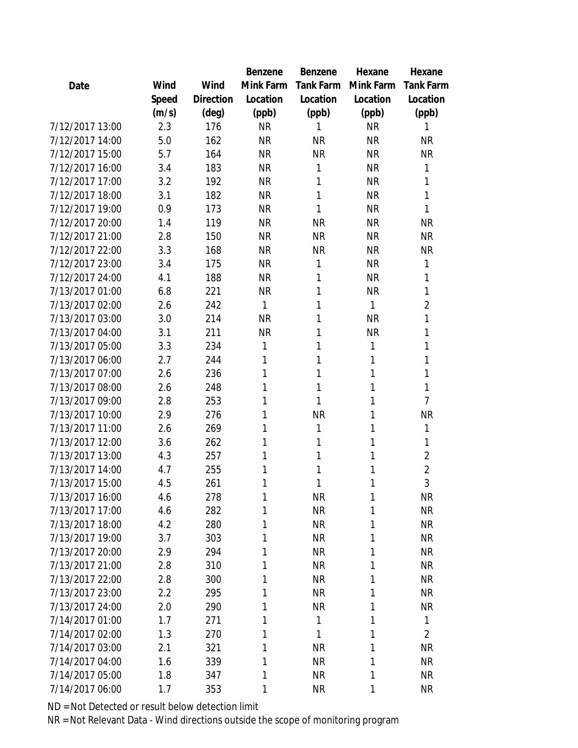|                 |       |           | Benzene   | Benzene          | Hexane    | Hexane           |
|-----------------|-------|-----------|-----------|------------------|-----------|------------------|
| Date            | Wind  | Wind      | Mink Farm | <b>Tank Farm</b> | Mink Farm | <b>Tank Farm</b> |
|                 | Speed | Direction | Location  | Location         | Location  | Location         |
|                 | (m/s) | (deg)     | (ppb)     | (ppb)            | (ppb)     | (ppb)            |
| 7/12/2017 13:00 | 2.3   | 176       | <b>NR</b> | 1                | <b>NR</b> | 1                |
| 7/12/2017 14:00 | 5.0   | 162       | <b>NR</b> | <b>NR</b>        | <b>NR</b> | <b>NR</b>        |
| 7/12/2017 15:00 | 5.7   | 164       | <b>NR</b> | <b>NR</b>        | <b>NR</b> | <b>NR</b>        |
| 7/12/2017 16:00 | 3.4   | 183       | <b>NR</b> | 1                | <b>NR</b> | 1                |
| 7/12/2017 17:00 | 3.2   | 192       | <b>NR</b> | 1                | <b>NR</b> | 1                |
| 7/12/2017 18:00 | 3.1   | 182       | <b>NR</b> | 1                | <b>NR</b> | 1                |
| 7/12/2017 19:00 | 0.9   | 173       | <b>NR</b> | 1                | <b>NR</b> | 1                |
| 7/12/2017 20:00 | 1.4   | 119       | <b>NR</b> | <b>NR</b>        | <b>NR</b> | <b>NR</b>        |
| 7/12/2017 21:00 | 2.8   | 150       | <b>NR</b> | <b>NR</b>        | <b>NR</b> | <b>NR</b>        |
| 7/12/2017 22:00 | 3.3   | 168       | <b>NR</b> | <b>NR</b>        | <b>NR</b> | <b>NR</b>        |
| 7/12/2017 23:00 | 3.4   | 175       | <b>NR</b> | 1                | <b>NR</b> | 1                |
| 7/12/2017 24:00 | 4.1   | 188       | <b>NR</b> | 1                | <b>NR</b> | 1                |
| 7/13/2017 01:00 | 6.8   | 221       | <b>NR</b> | 1                | <b>NR</b> | 1                |
| 7/13/2017 02:00 | 2.6   | 242       | 1         | 1                | 1         | $\overline{2}$   |
| 7/13/2017 03:00 | 3.0   | 214       | <b>NR</b> | 1                | <b>NR</b> | 1                |
| 7/13/2017 04:00 | 3.1   | 211       | <b>NR</b> | 1                | NR        | 1                |
| 7/13/2017 05:00 | 3.3   | 234       | 1         | 1                | 1         | 1                |
| 7/13/2017 06:00 | 2.7   | 244       | 1         | 1                | 1         | 1                |
| 7/13/2017 07:00 | 2.6   | 236       | 1         | 1                | 1         | 1                |
| 7/13/2017 08:00 | 2.6   | 248       | 1         | 1                | 1         | 1                |
| 7/13/2017 09:00 | 2.8   | 253       | 1         | 1                | 1         | $\overline{7}$   |
| 7/13/2017 10:00 | 2.9   | 276       | 1         | <b>NR</b>        | 1         | <b>NR</b>        |
| 7/13/2017 11:00 | 2.6   | 269       | 1         | 1                | 1         | 1                |
| 7/13/2017 12:00 | 3.6   | 262       | 1         | 1                | 1         | 1                |
| 7/13/2017 13:00 | 4.3   | 257       | 1         | 1                | 1         | $\overline{c}$   |
| 7/13/2017 14:00 | 4.7   | 255       | 1         | 1                | 1         | $\overline{2}$   |
| 7/13/2017 15:00 | 4.5   | 261       | 1         | 1                | 1         | 3                |
| 7/13/2017 16:00 | 4.6   | 278       | 1         | <b>NR</b>        | 1         | <b>NR</b>        |
| 7/13/2017 17:00 | 4.6   | 282       | 1         | <b>NR</b>        | 1         | <b>NR</b>        |
| 7/13/2017 18:00 | 4.2   | 280       | 1         | <b>NR</b>        | 1         | <b>NR</b>        |
| 7/13/2017 19:00 | 3.7   | 303       | 1         | <b>NR</b>        | 1         | <b>NR</b>        |
| 7/13/2017 20:00 | 2.9   | 294       | 1         | <b>NR</b>        | 1         | <b>NR</b>        |
| 7/13/2017 21:00 | 2.8   | 310       | 1         | <b>NR</b>        | 1         | <b>NR</b>        |
| 7/13/2017 22:00 | 2.8   | 300       | 1         | <b>NR</b>        | 1         | <b>NR</b>        |
| 7/13/2017 23:00 | 2.2   | 295       | 1         | <b>NR</b>        | 1         | <b>NR</b>        |
| 7/13/2017 24:00 | 2.0   | 290       | 1         | <b>NR</b>        | 1         | <b>NR</b>        |
| 7/14/2017 01:00 | 1.7   | 271       | 1         | 1                | 1         | 1                |
| 7/14/2017 02:00 | 1.3   | 270       | 1         | 1                | 1         | $\overline{2}$   |
| 7/14/2017 03:00 | 2.1   | 321       | 1         | <b>NR</b>        | 1         | <b>NR</b>        |
| 7/14/2017 04:00 | 1.6   | 339       | 1         | <b>NR</b>        | 1         | <b>NR</b>        |
| 7/14/2017 05:00 | 1.8   | 347       | 1         | <b>NR</b>        | 1         | <b>NR</b>        |
| 7/14/2017 06:00 | 1.7   | 353       | 1         | <b>NR</b>        | 1         | <b>NR</b>        |
|                 |       |           |           |                  |           |                  |